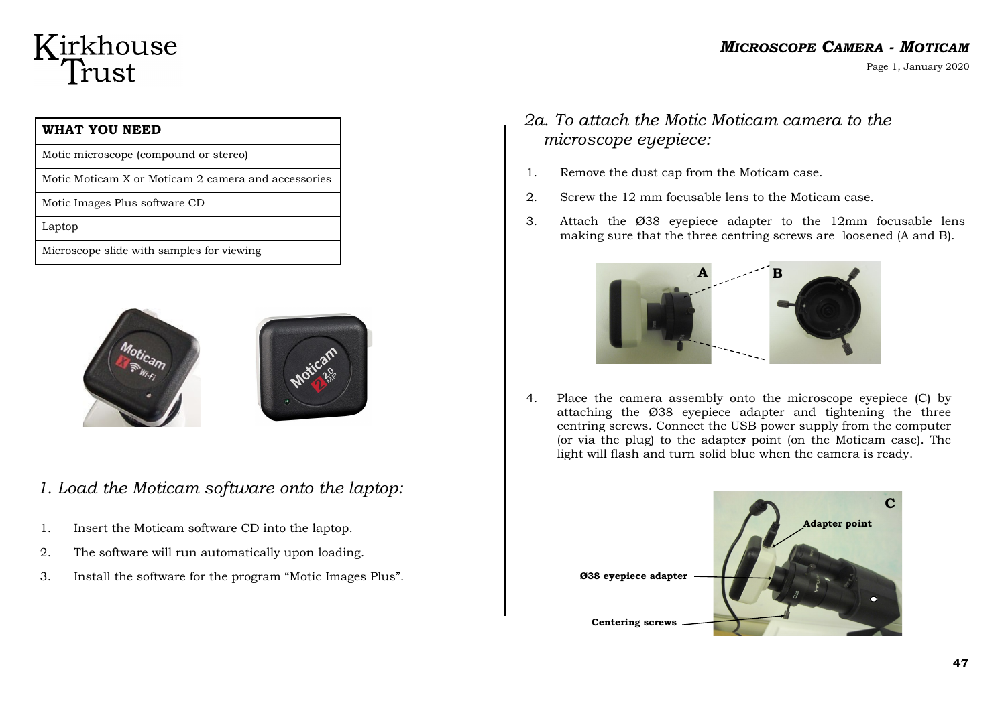# Kirkhouse Trust

### *MICROSCOPE CAMERA - MOTICAM*

Page 1, January 2020

| WHAT YOU NEED                                       |
|-----------------------------------------------------|
| Motic microscope (compound or stereo)               |
| Motic Moticam X or Moticam 2 camera and accessories |
| Motic Images Plus software CD                       |
| Laptop                                              |
| Microscope slide with samples for viewing           |





*1. Load the Moticam software onto the laptop:*

- 1. Insert the Moticam software CD into the laptop.
- 2. The software will run automatically upon loading.
- 3. Install the software for the program "Motic Images Plus".

# *2a. To attach the Motic Moticam camera to the microscope eyepiece:*

- 1. Remove the dust cap from the Moticam case.
- 2. Screw the 12 mm focusable lens to the Moticam case.
- 3. Attach the Ø38 eyepiece adapter to the 12mm focusable lens making sure that the three centring screws are loosened (A and B).



4. Place the camera assembly onto the microscope eyepiece (C) by attaching the Ø38 eyepiece adapter and tightening the three centring screws. Connect the USB power supply from the computer (or via the plug) to the adapter point (on the Moticam case). The light will flash and turn solid blue when the camera is ready.

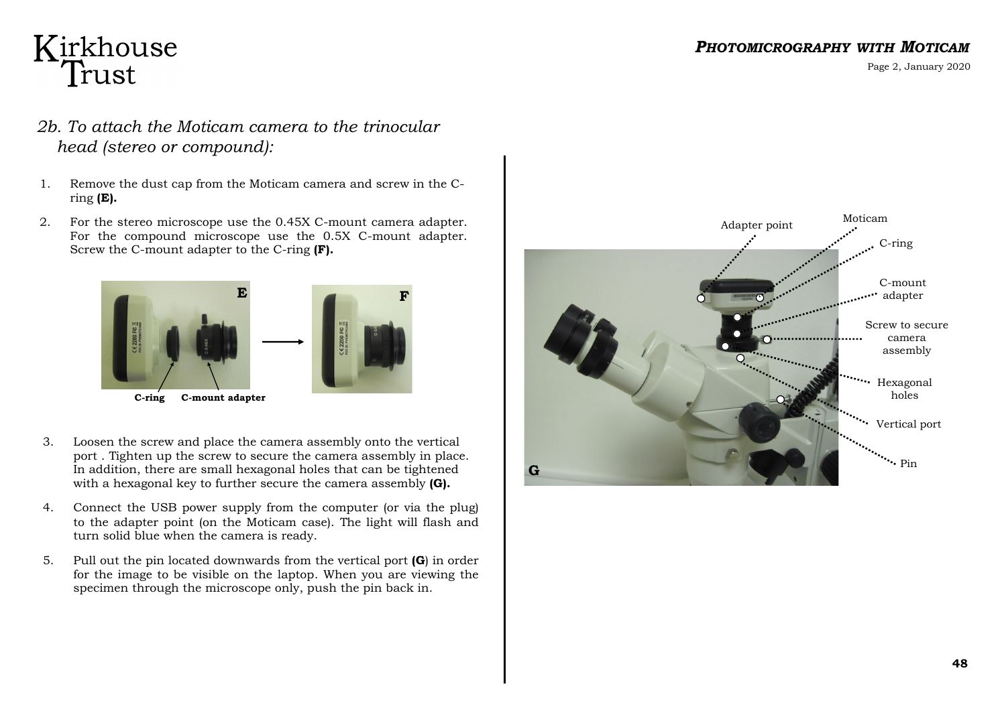#### *PHOTOMICROGRAPHY WITH MOTICAM*

Page 2, January 2020

# Kirkhouse<br>Trust

- *2b. To attach the Moticam camera to the trinocular head (stereo or compound):*
- 1. Remove the dust cap from the Moticam camera and screw in the Cring **(E).**
- 2. For the stereo microscope use the 0.45X C-mount camera adapter. For the compound microscope use the 0.5X C-mount adapter. Screw the C-mount adapter to the C-ring **(F).**



- 3. Loosen the screw and place the camera assembly onto the vertical port . Tighten up the screw to secure the camera assembly in place. In addition, there are small hexagonal holes that can be tightened with a hexagonal key to further secure the camera assembly **(G).**
- 4. Connect the USB power supply from the computer (or via the plug) to the adapter point (on the Moticam case). The light will flash and turn solid blue when the camera is ready.
- 5. Pull out the pin located downwards from the vertical port **(G**) in order for the image to be visible on the laptop. When you are viewing the specimen through the microscope only, push the pin back in.